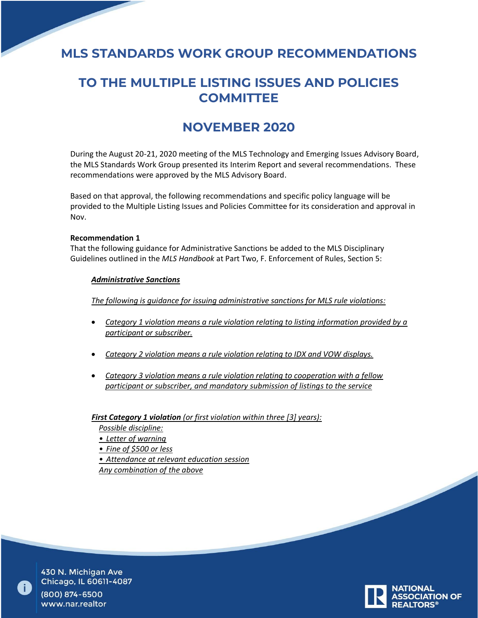# **MLS STANDARDS WORK GROUP RECOMMENDATIONS**

# **TO THE MULTIPLE LISTING ISSUES AND POLICIES COMMITTEE**

# **NOVEMBER 2020**

During the August 20-21, 2020 meeting of the MLS Technology and Emerging Issues Advisory Board, the MLS Standards Work Group presented its Interim Report and several recommendations. These recommendations were approved by the MLS Advisory Board.

Based on that approval, the following recommendations and specific policy language will be provided to the Multiple Listing Issues and Policies Committee for its consideration and approval in Nov.

## **Recommendation 1**

That the following guidance for Administrative Sanctions be added to the MLS Disciplinary Guidelines outlined in the *MLS Handbook* at Part Two, F. Enforcement of Rules, Section 5:

#### *Administrative Sanctions*

*The following is guidance for issuing administrative sanctions for MLS rule violations:*

- *Category 1 violation means a rule violation relating to listing information provided by a participant or subscriber.*
- *Category 2 violation means a rule violation relating to IDX and VOW displays.*
- *Category 3 violation means a rule violation relating to cooperation with a fellow participant or subscriber, and mandatory submission of listings to the service*

*First Category 1 violation (or first violation within three [3] years):*

*Possible discipline:*

- *• Letter of warning*
- *• Fine of \$500 or less*
- *• Attendance at relevant education session*

*Any combination of the above*



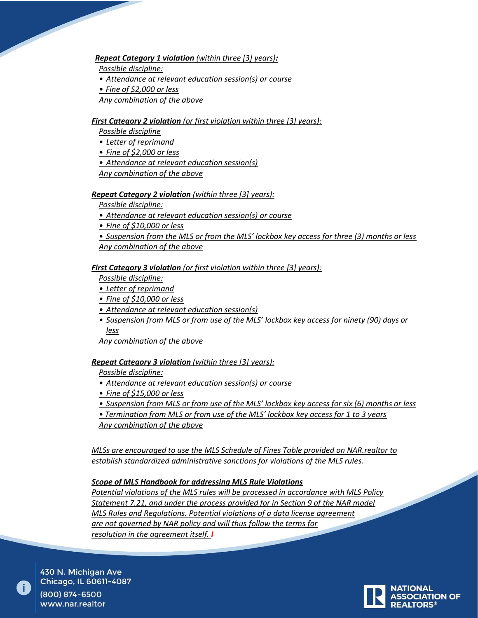*Repeat Category 1 violation (within three [3] years):*

*Possible discipline:*

*• Attendance at relevant education session(s) or course*

*• Fine of \$2,000 or less*

*Any combination of the above*

## *First Category 2 violation (or first violation within three [3] years):*

- *Possible discipline*
- *• Letter of reprimand*
- *• Fine of \$2,000 or less*
- *• Attendance at relevant education session(s)*

*Any combination of the above* 

#### *Repeat Category 2 violation (within three [3] years):*

*Possible discipline:*

*• Attendance at relevant education session(s) or course*

- *• Fine of \$10,000 or less*
- *• Suspension from the MLS or from the MLS' lockbox key access for three (3) months or less Any combination of the above*

## *First Category 3 violation (or first violation within three [3] years):*

*Possible discipline:*

- *• Letter of reprimand*
- *• Fine of \$10,000 or less*
- *• Attendance at relevant education session(s)*
- *• Suspension from MLS or from use of the MLS' lockbox key access for ninety (90) days or less*

*Any combination of the above* 

## *Repeat Category 3 violation (within three [3] years):*

*Possible discipline:*

- *• Attendance at relevant education session(s) or course*
- *• Fine of \$15,000 or less*
- *• Suspension from MLS or from use of the MLS' lockbox key access for six (6) months or less*

*• Termination from MLS or from use of the MLS' lockbox key access for 1 to 3 years*

*Any combination of the above* 

*MLSs are encouraged to use the MLS Schedule of Fines Table provided on NAR.realtor to establish standardized administrative sanctions for violations of the MLS rules.* 

## *Scope of MLS Handbook for addressing MLS Rule Violations*

*Potential violations of the MLS rules will be processed in accordance with MLS Policy Statement 7.21, and under the process provided for in Section 9 of the NAR model MLS Rules and Regulations. Potential violations of a data license agreement are not governed by NAR policy and will thus follow the terms for resolution in the agreement itself. I*

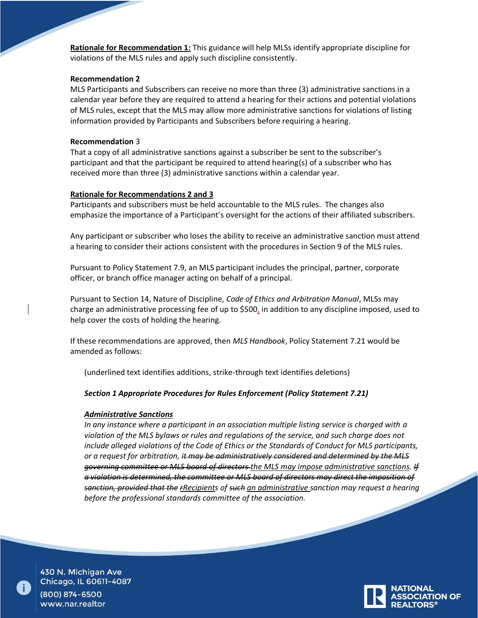**Rationale for Recommendation 1:** This guidance will help MLSs identify appropriate discipline for violations of the MLS rules and apply such discipline consistently.

#### **Recommendation 2**

MLS Participants and Subscribers can receive no more than three (3) administrative sanctions in a calendar year before they are required to attend a hearing for their actions and potential violations of MLS rules, except that the MLS may allow more administrative sanctions for violations of listing information provided by Participants and Subscribers before requiring a hearing.

#### **Recommendation** 3

That a copy of all administrative sanctions against a subscriber be sent to the subscriber's participant and that the participant be required to attend hearing(s) of a subscriber who has received more than three (3) administrative sanctions within a calendar year.

#### **Rationale for Recommendations 2 and 3**

Participants and subscribers must be held accountable to the MLS rules. The changes also emphasize the importance of a Participant's oversight for the actions of their affiliated subscribers.

Any participant or subscriber who loses the ability to receive an administrative sanction must attend a hearing to consider their actions consistent with the procedures in Section 9 of the MLS rules.

Pursuant to Policy Statement 7.9, an MLS participant includes the principal, partner, corporate officer, or branch office manager acting on behalf of a principal.

Pursuant to Section 14, Nature of Discipline, *Code of Ethics and Arbitration Manual*, MLSs may charge an administrative processing fee of up to \$500, in addition to any discipline imposed, used to help cover the costs of holding the hearing.

If these recommendations are approved, then *MLS Handbook*, Policy Statement 7.21 would be amended as follows:

(underlined text identifies additions, strike-through text identifies deletions)

## *Section 1 Appropriate Procedures for Rules Enforcement (Policy Statement 7.21)*

## *Administrative Sanctions*

*In any instance where a participant in an association multiple listing service is charged with a violation of the MLS bylaws or rules and regulations of the service, and such charge does not include alleged violations of the Code of Ethics or the Standards of Conduct for MLS participants, or a request for arbitration, it may be administratively considered and determined by the MLS governing committee or MLS board of directors the MLS may impose administrative sanctions. If a violation is determined, the committee or MLS board of directors may direct the imposition of sanction, provided that the rRecipients of such an administrative sanction may request a hearing before the professional standards committee of the association.* 

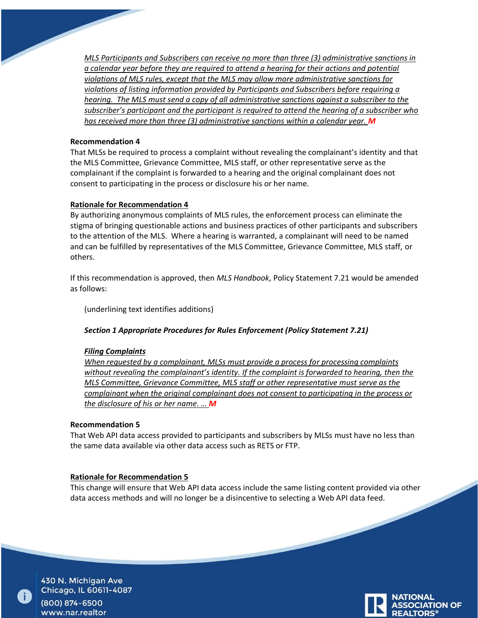*MLS Participants and Subscribers can receive no more than three (3) administrative sanctions in a calendar year before they are required to attend a hearing for their actions and potential violations of MLS rules, except that the MLS may allow more administrative sanctions for violations of listing information provided by Participants and Subscribers before requiring a hearing. The MLS must send a copy of all administrative sanctions against a subscriber to the subscriber's participant and the participant is required to attend the hearing of a subscriber who has received more than three (3) administrative sanctions within a calendar year. M*

#### **Recommendation 4**

That MLSs be required to process a complaint without revealing the complainant's identity and that the MLS Committee, Grievance Committee, MLS staff, or other representative serve as the complainant if the complaint is forwarded to a hearing and the original complainant does not consent to participating in the process or disclosure his or her name.

## **Rationale for Recommendation 4**

By authorizing anonymous complaints of MLS rules, the enforcement process can eliminate the stigma of bringing questionable actions and business practices of other participants and subscribers to the attention of the MLS. Where a hearing is warranted, a complainant will need to be named and can be fulfilled by representatives of the MLS Committee, Grievance Committee, MLS staff, or others.

If this recommendation is approved, then *MLS Handbook*, Policy Statement 7.21 would be amended as follows:

(underlining text identifies additions)

## *Section 1 Appropriate Procedures for Rules Enforcement (Policy Statement 7.21)*

#### *Filing Complaints*

*When requested by a complainant, MLSs must provide a process for processing complaints without revealing the complainant's identity. If the complaint is forwarded to hearing, then the MLS Committee, Grievance Committee, MLS staff or other representative must serve as the complainant when the original complainant does not consent to participating in the process or the disclosure of his or her name. … M*

#### **Recommendation 5**

That Web API data access provided to participants and subscribers by MLSs must have no less than the same data available via other data access such as RETS or FTP.

#### **Rationale for Recommendation 5**

This change will ensure that Web API data access include the same listing content provided via other data access methods and will no longer be a disincentive to selecting a Web API data feed.



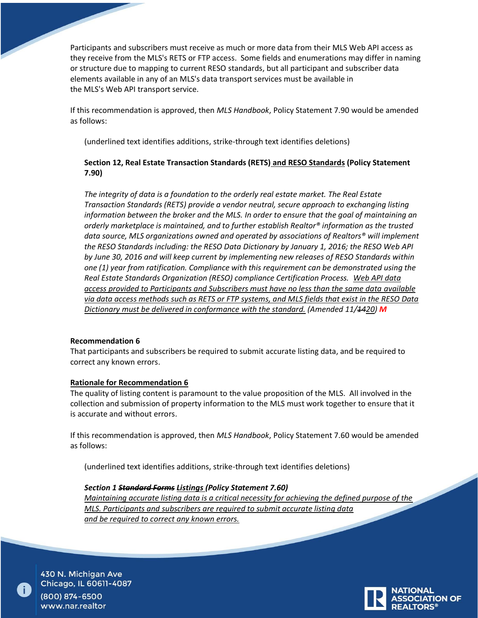Participants and subscribers must receive as much or more data from their MLS Web API access as they receive from the MLS's RETS or FTP access. Some fields and enumerations may differ in naming or structure due to mapping to current RESO standards, but all participant and subscriber data elements available in any of an MLS's data transport services must be available in the MLS's Web API transport service.

If this recommendation is approved, then *MLS Handbook*, Policy Statement 7.90 would be amended as follows:

(underlined text identifies additions, strike-through text identifies deletions)

# **Section 12, Real Estate Transaction Standards (RETS) and RESO Standards (Policy Statement 7.90)**

*The integrity of data is a foundation to the orderly real estate market. The Real Estate Transaction Standards (RETS) provide a vendor neutral, secure approach to exchanging listing information between the broker and the MLS. In order to ensure that the goal of maintaining an orderly marketplace is maintained, and to further establish Realtor® information as the trusted data source, MLS organizations owned and operated by associations of Realtors® will implement the RESO Standards including: the RESO Data Dictionary by January 1, 2016; the RESO Web API by June 30, 2016 and will keep current by implementing new releases of RESO Standards within one (1) year from ratification. Compliance with this requirement can be demonstrated using the Real Estate Standards Organization (RESO) compliance Certification Process. Web API data access provided to Participants and Subscribers must have no less than the same data available via data access methods such as RETS or FTP systems, and MLS fields that exist in the RESO Data Dictionary must be delivered in conformance with the standard. (Amended 11/1420) M*

# **Recommendation 6**

That participants and subscribers be required to submit accurate listing data, and be required to correct any known errors.

## **Rationale for Recommendation 6**

The quality of listing content is paramount to the value proposition of the MLS. All involved in the collection and submission of property information to the MLS must work together to ensure that it is accurate and without errors.

If this recommendation is approved, then *MLS Handbook*, Policy Statement 7.60 would be amended as follows:

(underlined text identifies additions, strike-through text identifies deletions)

*Section 1 Standard Forms Listings (Policy Statement 7.60) Maintaining accurate listing data is a critical necessity for achieving the defined purpose of the MLS. Participants and subscribers are required to submit accurate listing data and be required to correct any known errors.*